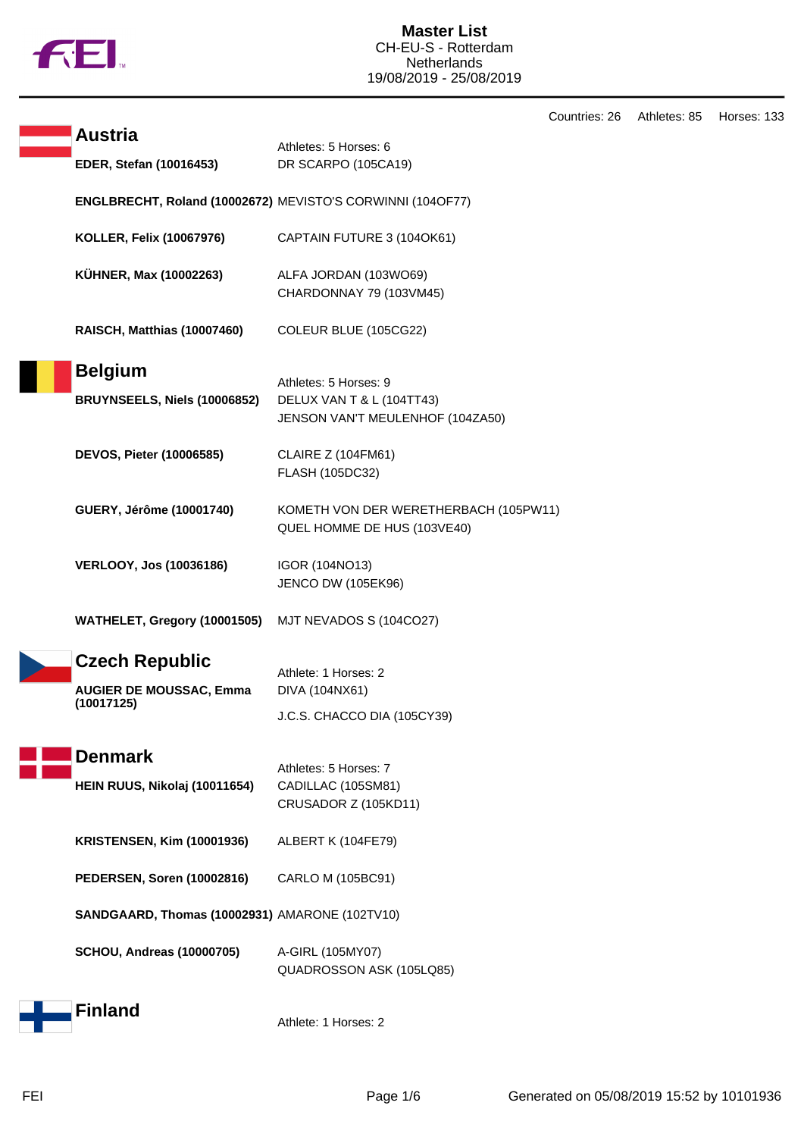

|  |                                                |                                                                      | Countries: 26 | Athletes: 85 | Horses: 133 |
|--|------------------------------------------------|----------------------------------------------------------------------|---------------|--------------|-------------|
|  | <b>Austria</b>                                 | Athletes: 5 Horses: 6                                                |               |              |             |
|  | EDER, Stefan (10016453)                        | DR SCARPO (105CA19)                                                  |               |              |             |
|  |                                                | ENGLBRECHT, Roland (10002672) MEVISTO'S CORWINNI (104OF77)           |               |              |             |
|  | <b>KOLLER, Felix (10067976)</b>                | CAPTAIN FUTURE 3 (104OK61)                                           |               |              |             |
|  | KÜHNER, Max (10002263)                         | ALFA JORDAN (103WO69)<br>CHARDONNAY 79 (103VM45)                     |               |              |             |
|  | RAISCH, Matthias (10007460)                    | COLEUR BLUE (105CG22)                                                |               |              |             |
|  | <b>Belgium</b>                                 | Athletes: 5 Horses: 9                                                |               |              |             |
|  | BRUYNSEELS, Niels (10006852)                   | DELUX VAN T & L (104TT43)                                            |               |              |             |
|  |                                                | JENSON VAN'T MEULENHOF (104ZA50)                                     |               |              |             |
|  | <b>DEVOS, Pieter (10006585)</b>                | <b>CLAIRE Z (104FM61)</b>                                            |               |              |             |
|  |                                                | FLASH (105DC32)                                                      |               |              |             |
|  | GUERY, Jérôme (10001740)                       | KOMETH VON DER WERETHERBACH (105PW11)<br>QUEL HOMME DE HUS (103VE40) |               |              |             |
|  |                                                |                                                                      |               |              |             |
|  | <b>VERLOOY, Jos (10036186)</b>                 | IGOR (104NO13)<br><b>JENCO DW (105EK96)</b>                          |               |              |             |
|  | WATHELET, Gregory (10001505)                   | MJT NEVADOS S (104CO27)                                              |               |              |             |
|  | <b>Czech Republic</b>                          | Athlete: 1 Horses: 2                                                 |               |              |             |
|  | <b>AUGIER DE MOUSSAC, Emma</b><br>(10017125)   | DIVA (104NX61)                                                       |               |              |             |
|  |                                                | J.C.S. CHACCO DIA (105CY39)                                          |               |              |             |
|  | <b>Denmark</b>                                 |                                                                      |               |              |             |
|  |                                                | Athletes: 5 Horses: 7<br>CADILLAC (105SM81)                          |               |              |             |
|  | HEIN RUUS, Nikolaj (10011654)                  | CRUSADOR Z (105KD11)                                                 |               |              |             |
|  | <b>KRISTENSEN, Kim (10001936)</b>              | ALBERT K (104FE79)                                                   |               |              |             |
|  | PEDERSEN, Soren (10002816)                     | CARLO M (105BC91)                                                    |               |              |             |
|  | SANDGAARD, Thomas (10002931) AMARONE (102TV10) |                                                                      |               |              |             |
|  | <b>SCHOU, Andreas (10000705)</b>               | A-GIRL (105MY07)<br>QUADROSSON ASK (105LQ85)                         |               |              |             |
|  | <b>Finland</b>                                 | Athlete: 1 Horses: 2                                                 |               |              |             |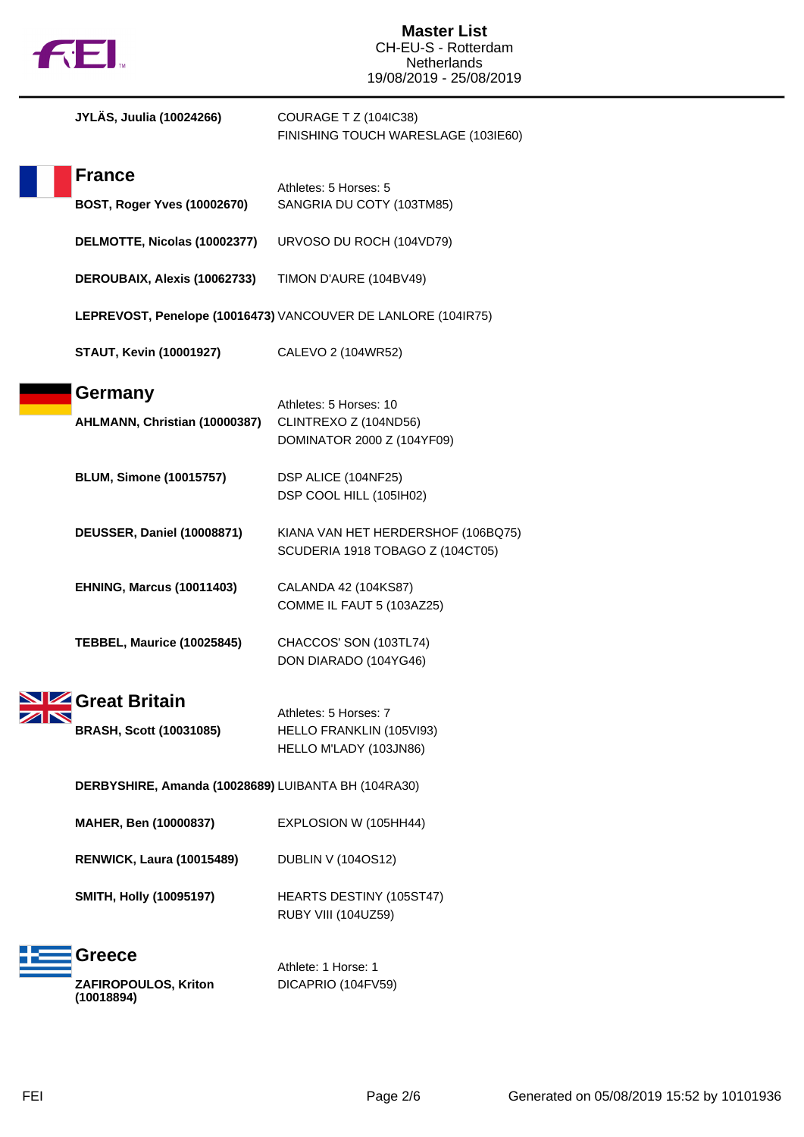

| JYLÄS, Juulia (10024266)                            | COURAGE T Z (104IC38)<br>FINISHING TOUCH WARESLAGE (103IE60)                  |
|-----------------------------------------------------|-------------------------------------------------------------------------------|
| <b>France</b><br><b>BOST, Roger Yves (10002670)</b> | Athletes: 5 Horses: 5<br>SANGRIA DU COTY (103TM85)                            |
| DELMOTTE, Nicolas (10002377)                        | URVOSO DU ROCH (104VD79)                                                      |
| DEROUBAIX, Alexis (10062733)                        | TIMON D'AURE (104BV49)                                                        |
|                                                     | LEPREVOST, Penelope (10016473) VANCOUVER DE LANLORE (104IR75)                 |
| <b>STAUT, Kevin (10001927)</b>                      | CALEVO 2 (104WR52)                                                            |
| Germany<br>AHLMANN, Christian (10000387)            | Athletes: 5 Horses: 10<br>CLINTREXO Z (104ND56)<br>DOMINATOR 2000 Z (104YF09) |
| <b>BLUM, Simone (10015757)</b>                      | DSP ALICE (104NF25)<br>DSP COOL HILL (105IH02)                                |
| <b>DEUSSER, Daniel (10008871)</b>                   | KIANA VAN HET HERDERSHOF (106BQ75)<br>SCUDERIA 1918 TOBAGO Z (104CT05)        |
| <b>EHNING, Marcus (10011403)</b>                    | CALANDA 42 (104KS87)<br>COMME IL FAUT 5 (103AZ25)                             |
| <b>TEBBEL, Maurice (10025845)</b>                   | CHACCOS' SON (103TL74)<br>DON DIARADO (104YG46)                               |
| Great Britain<br><b>BRASH, Scott (10031085)</b>     | Athletes: 5 Horses: 7<br>HELLO FRANKLIN (105VI93)<br>HELLO M'LADY (103JN86)   |
| DERBYSHIRE, Amanda (10028689) LUIBANTA BH (104RA30) |                                                                               |
| MAHER, Ben (10000837)                               | EXPLOSION W (105HH44)                                                         |
| <b>RENWICK, Laura (10015489)</b>                    | <b>DUBLIN V (104OS12)</b>                                                     |
| <b>SMITH, Holly (10095197)</b>                      | HEARTS DESTINY (105ST47)<br><b>RUBY VIII (104UZ59)</b>                        |
| <b>Greece</b><br>ZAFIROPOULOS, Kriton<br>(10018894) | Athlete: 1 Horse: 1<br>DICAPRIO (104FV59)                                     |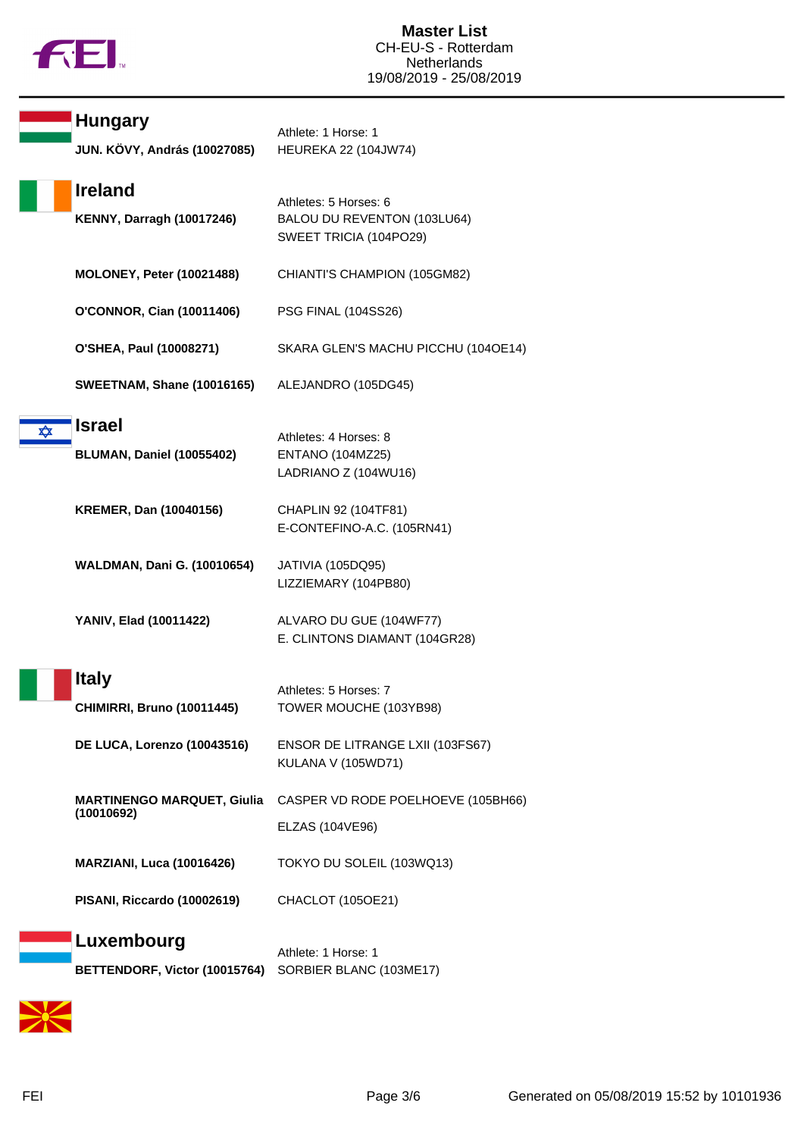

|   | <b>Hungary</b><br>JUN. KÖVY, András (10027085)     | Athlete: 1 Horse: 1<br><b>HEUREKA 22 (104JW74)</b>                             |
|---|----------------------------------------------------|--------------------------------------------------------------------------------|
|   | <b>Ireland</b><br><b>KENNY, Darragh (10017246)</b> | Athletes: 5 Horses: 6<br>BALOU DU REVENTON (103LU64)<br>SWEET TRICIA (104PO29) |
|   | <b>MOLONEY, Peter (10021488)</b>                   | CHIANTI'S CHAMPION (105GM82)                                                   |
|   | O'CONNOR, Cian (10011406)                          | <b>PSG FINAL (104SS26)</b>                                                     |
|   | O'SHEA, Paul (10008271)                            | SKARA GLEN'S MACHU PICCHU (104OE14)                                            |
|   | <b>SWEETNAM, Shane (10016165)</b>                  | ALEJANDRO (105DG45)                                                            |
| ✿ | <b>Israel</b><br><b>BLUMAN, Daniel (10055402)</b>  | Athletes: 4 Horses: 8<br><b>ENTANO (104MZ25)</b><br>LADRIANO Z (104WU16)       |
|   | <b>KREMER, Dan (10040156)</b>                      | CHAPLIN 92 (104TF81)<br>E-CONTEFINO-A.C. (105RN41)                             |
|   | <b>WALDMAN, Dani G. (10010654)</b>                 | JATIVIA (105DQ95)<br>LIZZIEMARY (104PB80)                                      |
|   | YANIV, Elad (10011422)                             | ALVARO DU GUE (104WF77)<br>E. CLINTONS DIAMANT (104GR28)                       |
|   | <b>Italy</b><br><b>CHIMIRRI, Bruno (10011445)</b>  | Athletes: 5 Horses: 7<br>TOWER MOUCHE (103YB98)                                |
|   | DE LUCA, Lorenzo (10043516)                        | ENSOR DE LITRANGE LXII (103FS67)<br>KULANA V (105WD71)                         |
|   | <b>MARTINENGO MARQUET, Giulia</b><br>(10010692)    | CASPER VD RODE POELHOEVE (105BH66)<br>ELZAS (104VE96)                          |
|   | <b>MARZIANI, Luca (10016426)</b>                   | TOKYO DU SOLEIL (103WQ13)                                                      |
|   | PISANI, Riccardo (10002619)                        | CHACLOT (105OE21)                                                              |
|   | Luxembourg<br>BETTENDORF, Victor (10015764)        | Athlete: 1 Horse: 1<br>SORBIER BLANC (103ME17)                                 |

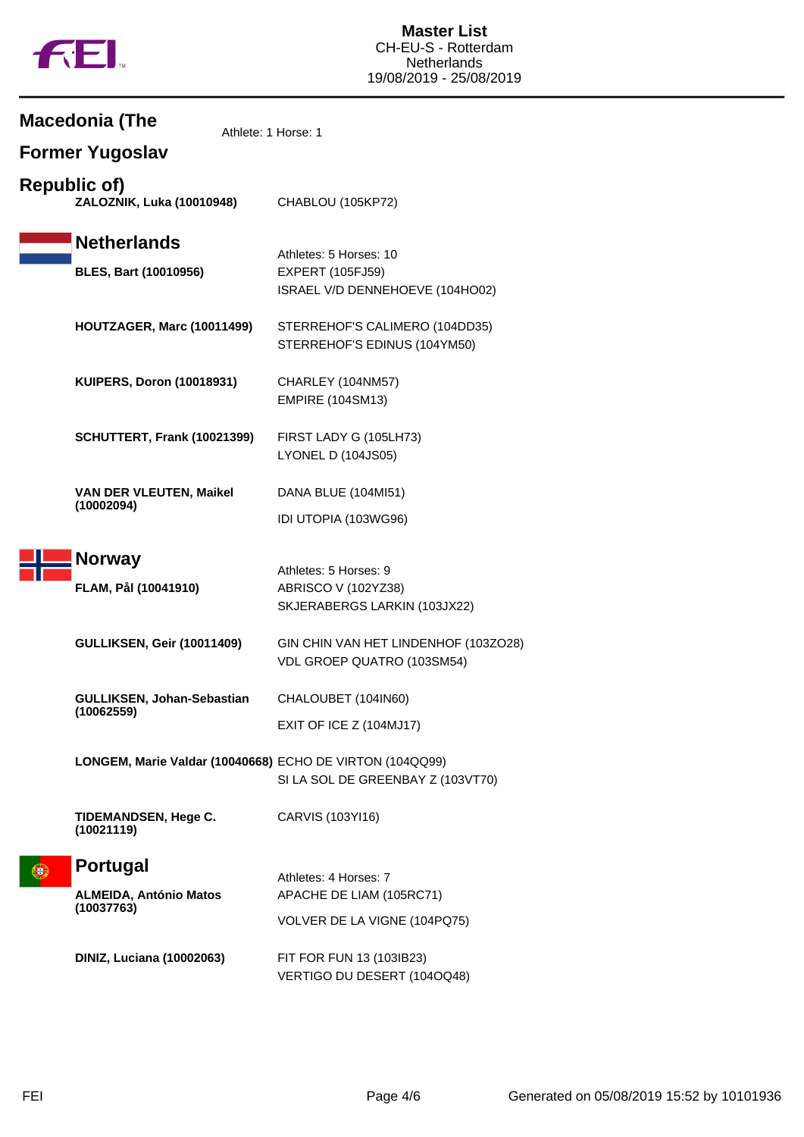

**Macedonia (The**

|                     | Former Yugoslav                                                |                                                                                      |
|---------------------|----------------------------------------------------------------|--------------------------------------------------------------------------------------|
| <b>Republic of)</b> | ZALOZNIK, Luka (10010948)                                      | CHABLOU (105KP72)                                                                    |
|                     | <b>Netherlands</b><br><b>BLES, Bart (10010956)</b>             | Athletes: 5 Horses: 10<br><b>EXPERT (105FJ59)</b><br>ISRAEL V/D DENNEHOEVE (104HO02) |
|                     | HOUTZAGER, Marc (10011499)                                     | STERREHOF'S CALIMERO (104DD35)<br>STERREHOF'S EDINUS (104YM50)                       |
|                     | <b>KUIPERS, Doron (10018931)</b>                               | CHARLEY (104NM57)<br><b>EMPIRE (104SM13)</b>                                         |
|                     | SCHUTTERT, Frank (10021399)                                    | FIRST LADY G (105LH73)<br><b>LYONEL D (104JS05)</b>                                  |
|                     | <b>VAN DER VLEUTEN, Maikel</b><br>(10002094)                   | DANA BLUE (104MI51)<br>IDI UTOPIA (103WG96)                                          |
|                     | <b>Norway</b><br>FLAM, Pål (10041910)                          | Athletes: 5 Horses: 9<br>ABRISCO V (102YZ38)<br>SKJERABERGS LARKIN (103JX22)         |
|                     | <b>GULLIKSEN, Geir (10011409)</b>                              | GIN CHIN VAN HET LINDENHOF (103ZO28)<br>VDL GROEP QUATRO (103SM54)                   |
|                     | GULLIKSEN, Johan-Sebastian<br>(10062559)                       | CHALOUBET (104IN60)<br>EXIT OF ICE Z (104MJ17)                                       |
|                     | LONGEM, Marie Valdar (10040668) ECHO DE VIRTON (104QQ99)       | SI LA SOL DE GREENBAY Z (103VT70)                                                    |
|                     | <b>TIDEMANDSEN, Hege C.</b><br>(10021119)                      | CARVIS (103YI16)                                                                     |
|                     | <b>Portugal</b><br><b>ALMEIDA, António Matos</b><br>(10037763) | Athletes: 4 Horses: 7<br>APACHE DE LIAM (105RC71)<br>VOLVER DE LA VIGNE (104PQ75)    |
|                     | <b>DINIZ, Luciana (10002063)</b>                               | FIT FOR FUN 13 (103IB23)<br>VERTIGO DU DESERT (104OQ48)                              |

Athlete: 1 Horse: 1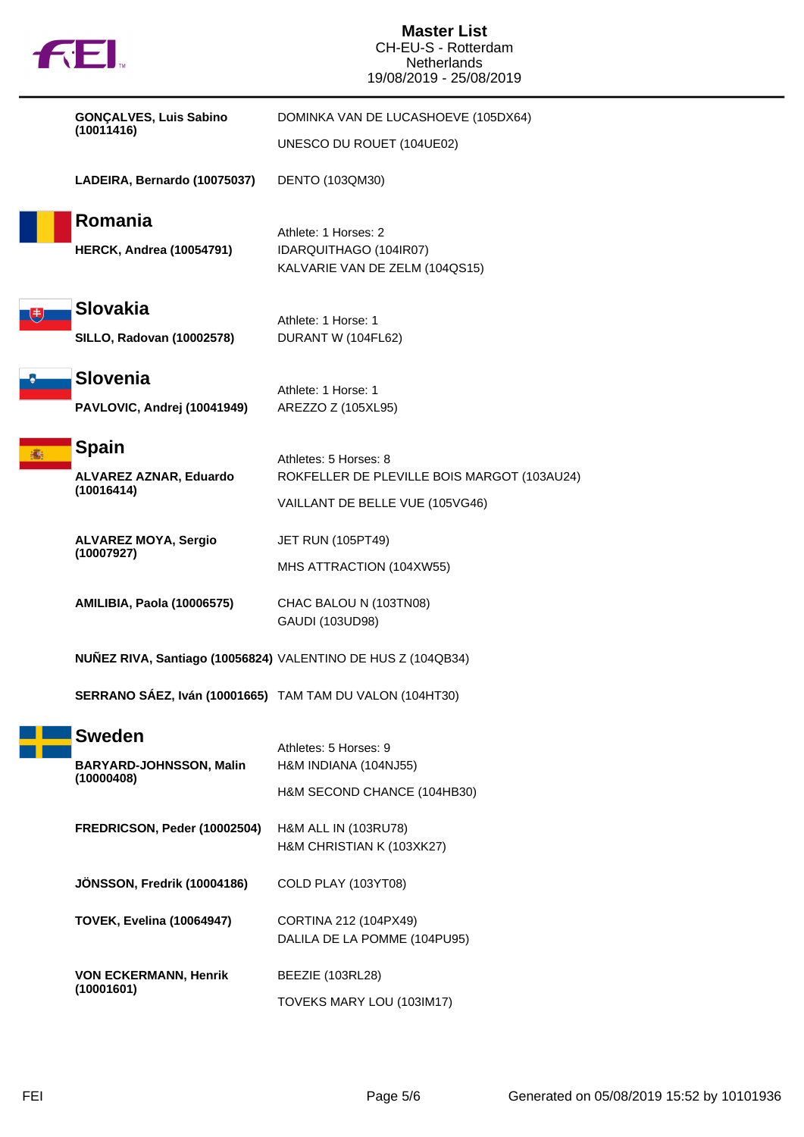|         | <b>FEI.</b>                                                                    | <b>Master List</b><br>CH-EU-S - Rotterdam<br><b>Netherlands</b><br>19/08/2019 - 25/08/2019 |
|---------|--------------------------------------------------------------------------------|--------------------------------------------------------------------------------------------|
|         | <b>GONÇALVES, Luis Sabino</b>                                                  | DOMINKA VAN DE LUCASHOEVE (105DX64)                                                        |
|         | (10011416)                                                                     | UNESCO DU ROUET (104UE02)                                                                  |
|         | LADEIRA, Bernardo (10075037)                                                   | DENTO (103QM30)                                                                            |
| Romania |                                                                                | Athlete: 1 Horses: 2                                                                       |
|         | <b>HERCK, Andrea (10054791)</b>                                                | IDARQUITHAGO (104IR07)<br>KALVARIE VAN DE ZELM (104QS15)                                   |
|         | <b>Slovakia</b>                                                                |                                                                                            |
|         | <b>SILLO, Radovan (10002578)</b>                                               | Athlete: 1 Horse: 1<br>DURANT W (104FL62)                                                  |
|         | <b>Slovenia</b>                                                                | Athlete: 1 Horse: 1                                                                        |
|         | PAVLOVIC, Andrej (10041949)                                                    | AREZZO Z (105XL95)                                                                         |
|         | <b>Spain</b>                                                                   |                                                                                            |
|         | ALVAREZ AZNAR, Eduardo<br>(10016414)                                           | Athletes: 5 Horses: 8<br>ROKFELLER DE PLEVILLE BOIS MARGOT (103AU24)                       |
|         |                                                                                | VAILLANT DE BELLE VUE (105VG46)                                                            |
|         | <b>ALVAREZ MOYA, Sergio</b><br>(10007927)<br><b>AMILIBIA, Paola (10006575)</b> | <b>JET RUN (105PT49)</b>                                                                   |
|         |                                                                                | MHS ATTRACTION (104XW55)                                                                   |
|         |                                                                                | CHAC BALOU N (103TN08)                                                                     |
|         |                                                                                | GAUDI (103UD98)                                                                            |
|         | NUÑEZ RIVA, Santiago (10056824) VALENTINO DE HUS Z (104QB34)                   |                                                                                            |
|         | SERRANO SÁEZ, Iván (10001665) TAM TAM DU VALON (104HT30)                       |                                                                                            |
|         | <b>Sweden</b>                                                                  |                                                                                            |
|         | <b>BARYARD-JOHNSSON, Malin</b><br>(10000408)                                   | Athletes: 5 Horses: 9<br>H&M INDIANA (104NJ55)                                             |
|         |                                                                                | H&M SECOND CHANCE (104HB30)                                                                |
|         | FREDRICSON, Peder (10002504)                                                   | H&M ALL IN (103RU78)                                                                       |
|         |                                                                                | H&M CHRISTIAN K (103XK27)                                                                  |
|         | JÖNSSON, Fredrik (10004186)                                                    | COLD PLAY (103YT08)                                                                        |
|         | <b>TOVEK, Evelina (10064947)</b>                                               | CORTINA 212 (104PX49)                                                                      |
|         |                                                                                | DALILA DE LA POMME (104PU95)                                                               |
|         | <b>VON ECKERMANN, Henrik</b><br>(10001601)                                     | BEEZIE (103RL28)                                                                           |
|         |                                                                                | TOVEKS MARY LOU (103IM17)                                                                  |